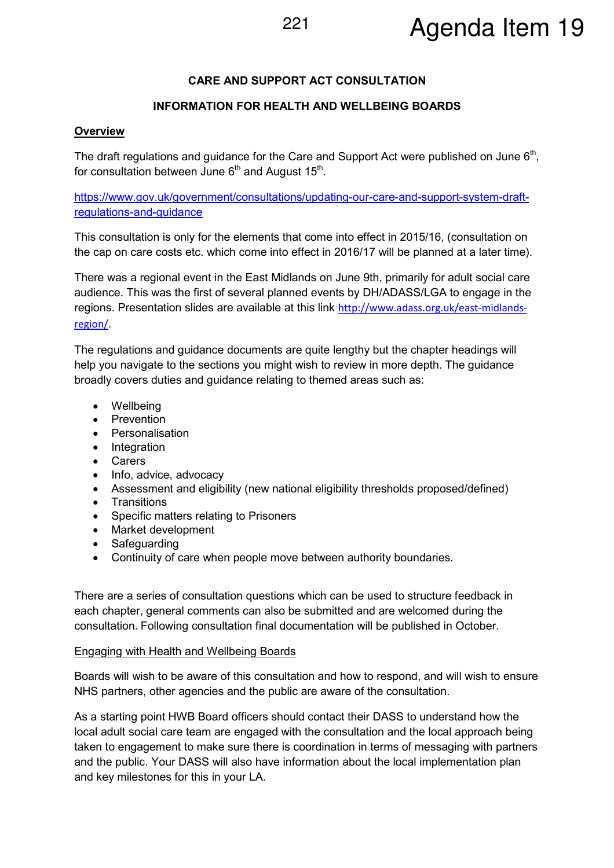# **CARE AND SUPPORT ACT CONSULTATION**

# **INFORMATION FOR HEALTH AND WELLBEING BOARDS**

### **Overview**

The draft regulations and guidance for the Care and Support Act were published on June  $6<sup>th</sup>$ , for consultation between June 6<sup>th</sup> and August 15<sup>th</sup>.

https://www.gov.uk/government/consultations/updating-our-care-and-support-system-draftregulations-and-guidance

This consultation is only for the elements that come into effect in 2015/16, (consultation on the cap on care costs etc. which come into effect in 2016/17 will be planned at a later time).

There was a regional event in the East Midlands on June 9th, primarily for adult social care audience. This was the first of several planned events by DH/ADASS/LGA to engage in the regions. Presentation slides are available at this link http://www.adass.org.uk/east-midlandsregion/.

The regulations and guidance documents are quite lengthy but the chapter headings will help you navigate to the sections you might wish to review in more depth. The guidance broadly covers duties and guidance relating to themed areas such as:

- Wellbeing
- Prevention
- Personalisation
- Integration
- Carers
- Info, advice, advocacy
- Assessment and eligibility (new national eligibility thresholds proposed/defined)
- Transitions
- Specific matters relating to Prisoners
- Market development
- Safeguarding
- Continuity of care when people move between authority boundaries.

There are a series of consultation questions which can be used to structure feedback in each chapter, general comments can also be submitted and are welcomed during the consultation. Following consultation final documentation will be published in October.

#### Engaging with Health and Wellbeing Boards

Boards will wish to be aware of this consultation and how to respond, and will wish to ensure NHS partners, other agencies and the public are aware of the consultation.

As a starting point HWB Board officers should contact their DASS to understand how the local adult social care team are engaged with the consultation and the local approach being taken to engagement to make sure there is coordination in terms of messaging with partners and the public. Your DASS will also have information about the local implementation plan and key milestones for this in your LA.